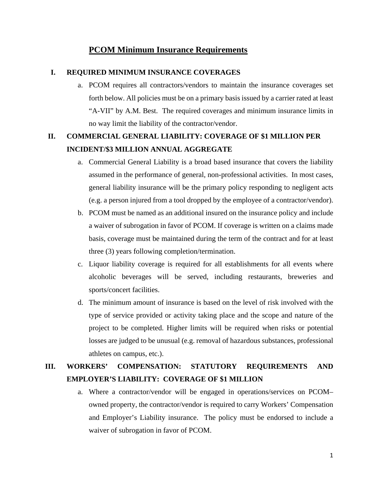### **PCOM Minimum Insurance Requirements**

### **I. REQUIRED MINIMUM INSURANCE COVERAGES**

a. PCOM requires all contractors/vendors to maintain the insurance coverages set forth below. All policies must be on a primary basis issued by a carrier rated at least "A-VII" by A.M. Best. The required coverages and minimum insurance limits in no way limit the liability of the contractor/vendor.

## **II. COMMERCIAL GENERAL LIABILITY: COVERAGE OF \$1 MILLION PER INCIDENT/\$3 MILLION ANNUAL AGGREGATE**

- a. Commercial General Liability is a broad based insurance that covers the liability assumed in the performance of general, non-professional activities. In most cases, general liability insurance will be the primary policy responding to negligent acts (e.g. a person injured from a tool dropped by the employee of a contractor/vendor).
- b. PCOM must be named as an additional insured on the insurance policy and include a waiver of subrogation in favor of PCOM. If coverage is written on a claims made basis, coverage must be maintained during the term of the contract and for at least three (3) years following completion/termination.
- c. Liquor liability coverage is required for all establishments for all events where alcoholic beverages will be served, including restaurants, breweries and sports/concert facilities.
- d. The minimum amount of insurance is based on the level of risk involved with the type of service provided or activity taking place and the scope and nature of the project to be completed. Higher limits will be required when risks or potential losses are judged to be unusual (e.g. removal of hazardous substances, professional athletes on campus, etc.).

## **III. WORKERS' COMPENSATION: STATUTORY REQUIREMENTS AND EMPLOYER'S LIABILITY: COVERAGE OF \$1 MILLION**

a. Where a contractor/vendor will be engaged in operations/services on PCOM– owned property, the contractor/vendor is required to carry Workers' Compensation and Employer's Liability insurance. The policy must be endorsed to include a waiver of subrogation in favor of PCOM.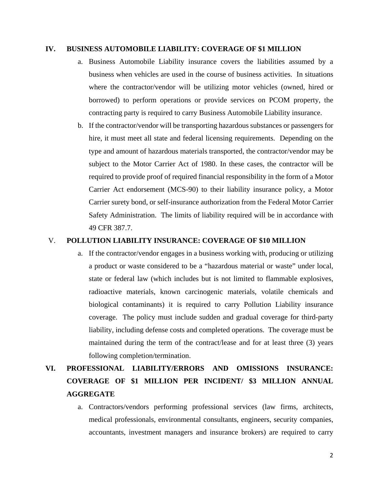### **IV. BUSINESS AUTOMOBILE LIABILITY: COVERAGE OF \$1 MILLION**

- a. Business Automobile Liability insurance covers the liabilities assumed by a business when vehicles are used in the course of business activities. In situations where the contractor/vendor will be utilizing motor vehicles (owned, hired or borrowed) to perform operations or provide services on PCOM property, the contracting party is required to carry Business Automobile Liability insurance.
- b. If the contractor/vendor will be transporting hazardous substances or passengers for hire, it must meet all state and federal licensing requirements. Depending on the type and amount of hazardous materials transported, the contractor/vendor may be subject to the Motor Carrier Act of 1980. In these cases, the contractor will be required to provide proof of required financial responsibility in the form of a Motor Carrier Act endorsement (MCS-90) to their liability insurance policy, a Motor Carrier surety bond, or self-insurance authorization from the Federal Motor Carrier Safety Administration. The limits of liability required will be in accordance with 49 CFR 387.7.

#### V. **POLLUTION LIABILITY INSURANCE: COVERAGE OF \$10 MILLION**

a. If the contractor/vendor engages in a business working with, producing or utilizing a product or waste considered to be a "hazardous material or waste" under local, state or federal law (which includes but is not limited to flammable explosives, radioactive materials, known carcinogenic materials, volatile chemicals and biological contaminants) it is required to carry Pollution Liability insurance coverage. The policy must include sudden and gradual coverage for third-party liability, including defense costs and completed operations. The coverage must be maintained during the term of the contract/lease and for at least three (3) years following completion/termination.

# **VI. PROFESSIONAL LIABILITY/ERRORS AND OMISSIONS INSURANCE: COVERAGE OF \$1 MILLION PER INCIDENT/ \$3 MILLION ANNUAL AGGREGATE**

a. Contractors/vendors performing professional services (law firms, architects, medical professionals, environmental consultants, engineers, security companies, accountants, investment managers and insurance brokers) are required to carry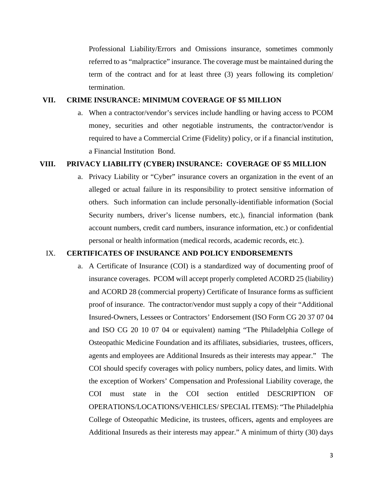Professional Liability/Errors and Omissions insurance, sometimes commonly referred to as "malpractice" insurance. The coverage must be maintained during the term of the contract and for at least three (3) years following its completion/ termination.

#### **VII. CRIME INSURANCE: MINIMUM COVERAGE OF \$5 MILLION**

a. When a contractor/vendor's services include handling or having access to PCOM money, securities and other negotiable instruments, the contractor/vendor is required to have a Commercial Crime (Fidelity) policy, or if a financial institution, a Financial Institution Bond.

#### **VIII. PRIVACY LIABILITY (CYBER) INSURANCE: COVERAGE OF \$5 MILLION**

a. Privacy Liability or "Cyber" insurance covers an organization in the event of an alleged or actual failure in its responsibility to protect sensitive information of others. Such information can include personally-identifiable information (Social Security numbers, driver's license numbers, etc.), financial information (bank account numbers, credit card numbers, insurance information, etc.) or confidential personal or health information (medical records, academic records, etc.).

#### IX. **CERTIFICATES OF INSURANCE AND POLICY ENDORSEMENTS**

a. A Certificate of Insurance (COI) is a standardized way of documenting proof of insurance coverages. PCOM will accept properly completed ACORD 25 (liability) and ACORD 28 (commercial property) Certificate of Insurance forms as sufficient proof of insurance. The contractor/vendor must supply a copy of their "Additional Insured-Owners, Lessees or Contractors' Endorsement (ISO Form CG 20 37 07 04 and ISO CG 20 10 07 04 or equivalent) naming "The Philadelphia College of Osteopathic Medicine Foundation and its affiliates, subsidiaries, trustees, officers, agents and employees are Additional Insureds as their interests may appear." The COI should specify coverages with policy numbers, policy dates, and limits. With the exception of Workers' Compensation and Professional Liability coverage, the COI must state in the COI section entitled DESCRIPTION OF OPERATIONS/LOCATIONS/VEHICLES/ SPECIAL ITEMS): "The Philadelphia College of Osteopathic Medicine, its trustees, officers, agents and employees are Additional Insureds as their interests may appear." A minimum of thirty (30) days